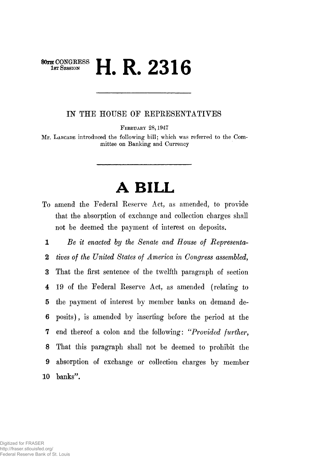## **80XH** CONGRESS **II I AQ** 1 **1ST SESSION In A CALCULATE IN A CALCULATE IN**

*IN* THE HOUSE OF REPRESENTATIVES

**FEBRUARY 28,1947** 

Mr. **LARCADE** introduced the following bill; which, was referred to the Committee on Banking and Currency

## **A BILL**

To amend the Federal Eeserve Act, as amended, to provide that the absorption of exchange and collection charges shall not be deemed the payment of interest on deposits.

*1 Be it enacted by the Senate and House of Bepresenta-***2** *tives of the United States of America in Congress assembled,*  3 That the first sentence of the twelfth paragraph of section 4 19 of the Federal Eeserve Act, as amended (relating to 5 the payment of interest by member banks on demand de-**6** posits), is amended by inserting before the period at the 7 end thereof a colon and the following: "*Provided further,*  **8** That this paragraph shall not be deemed to prohibit the 9 absorption of exchange or collection charges by member 10 banks".